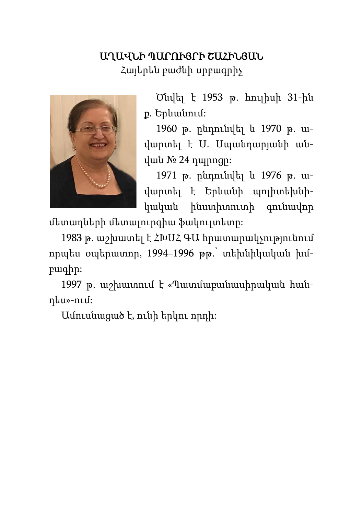## ԱՂԱՎՆԻ ՊԱՐՈՒՅՐԻ ՇԱՀԻՆՅԱՆ

Հայերեն բաժնի սրբագրիչ



Ծնվել է 1953 թ. հուլիսի 31-ին ք. Երևանում:

1960 թ. ընդունվել և 1970 թ. ավարտել է Ս. Սպանդարյանի անվան № 24 դպրոցը:

1971 թ. ընդունվել և 1976 թ. ավարտել է Երևանի պոլիտեխնիկական ինստիտուտի գունավոր

մետաղների մետալուրգիա ֆակուլտետը:

1983 թ. աշխատել է ՀԽՍՀ ԳԱ հրատարակչությունում որպես օպերատոր, 1994–1996 թթ.՝ տեխնիկական խմբագիր:

1997 թ. աշխատում է «Պատմաբանասիրական հանդես»-ում:

Ամուսնացած է, ունի երկու որդի: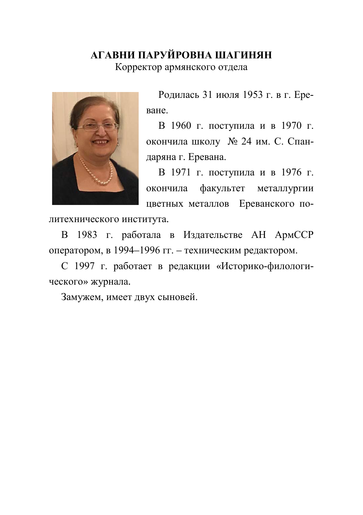## **АГАВНИ ПАРУЙРОВНА ШАГИНЯН**

Корректор армянского отдела



Родилась 31 июля 1953 г. в г. Ереване.

В 1960 г. поступила и в 1970 г. окончила школу № 24 им. С. Спандаряна г. Еревана.

В 1971 г. поступила и в 1976 г. окончила факультет металлургии цветных металлов Ереванского по-

литехнического института.

В 1983 г. работала в Издательстве АН АрмССР оператором, в 1994–1996 гг. – техническим редактором.

С 1997 г. работает в редакции «Историко-филологического» журнала.

Замужем, имеет двух сыновей.